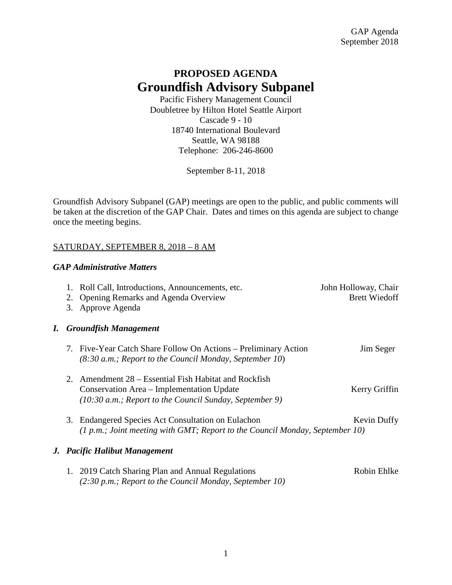# **PROPOSED AGENDA Groundfish Advisory Subpanel**

Pacific Fishery Management Council Doubletree by Hilton Hotel Seattle Airport Cascade 9 - 10 18740 International Boulevard Seattle, WA 98188 Telephone: 206-246-8600

September 8-11, 2018

Groundfish Advisory Subpanel (GAP) meetings are open to the public, and public comments will be taken at the discretion of the GAP Chair. Dates and times on this agenda are subject to change once the meeting begins.

#### SATURDAY, SEPTEMBER 8, 2018 – 8 AM

#### *GAP Administrative Matters*

|    |                               | 1. Roll Call, Introductions, Announcements, etc.<br>2. Opening Remarks and Agenda Overview<br>3. Approve Agenda                                                         | John Holloway, Chair<br><b>Brett Wiedoff</b> |
|----|-------------------------------|-------------------------------------------------------------------------------------------------------------------------------------------------------------------------|----------------------------------------------|
| I. |                               | <b>Groundfish Management</b>                                                                                                                                            |                                              |
|    |                               | 7. Five-Year Catch Share Follow On Actions – Preliminary Action<br>$(8:30 a.m.$ ; Report to the Council Monday, September 10)                                           | Jim Seger                                    |
|    |                               | 2. Amendment 28 – Essential Fish Habitat and Rockfish<br>Conservation Area – Implementation Update<br>$(10:30 \text{ a.m.};$ Report to the Council Sunday, September 9) | Kerry Griffin                                |
|    |                               | 3. Endangered Species Act Consultation on Eulachon<br>(1 p.m.; Joint meeting with GMT; Report to the Council Monday, September 10)                                      | Kevin Duffy                                  |
|    | J. Pacific Halibut Management |                                                                                                                                                                         |                                              |
|    |                               | 2019 Catch Sharing Plan and Annual Regulations                                                                                                                          | Robin Ehlke                                  |

*(2:30 p.m.; Report to the Council Monday, September 10)*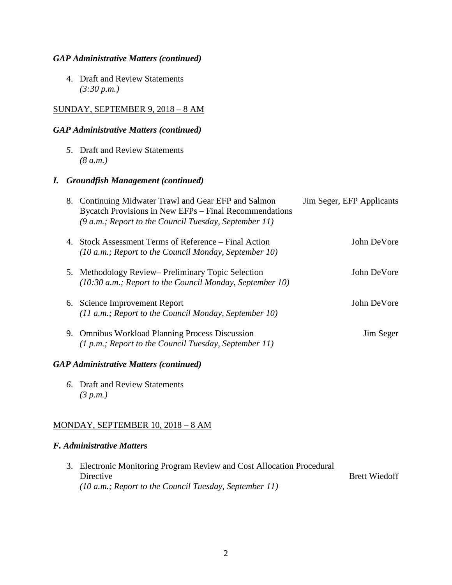#### *GAP Administrative Matters (continued)*

4. Draft and Review Statements *(3:30 p.m.)*

# SUNDAY, SEPTEMBER 9, 2018 – 8 AM

## *GAP Administrative Matters (continued)*

*5*. Draft and Review Statements *(8 a.m.)*

#### *I. Groundfish Management (continued)*

| 8. Continuing Midwater Trawl and Gear EFP and Salmon<br>Bycatch Provisions in New EFPs - Final Recommendations<br>$(9 a.m.; Report to the Council Tuesday, September 11)$ | Jim Seger, EFP Applicants |
|---------------------------------------------------------------------------------------------------------------------------------------------------------------------------|---------------------------|
| 4. Stock Assessment Terms of Reference – Final Action<br>$(10 a.m.; Report to the Council Monday, September 10)$                                                          | John DeVore               |
| 5. Methodology Review– Preliminary Topic Selection<br>$(10:30 a.m.;$ Report to the Council Monday, September 10)                                                          | John DeVore               |
| 6. Science Improvement Report<br>$(11 a.m.; Report to the Council Monday, September 10)$                                                                                  | John DeVore               |
| 9. Omnibus Workload Planning Process Discussion<br>$(1 p.m.; Report to the Council Tuesday, September 11)$                                                                | Jim Seger                 |
|                                                                                                                                                                           |                           |

### *GAP Administrative Matters (continued)*

*6*. Draft and Review Statements *(3 p.m.)*

#### MONDAY, SEPTEMBER 10, 2018 – 8 AM

#### *F. Administrative Matters*

| 3. Electronic Monitoring Program Review and Cost Allocation Procedural |                      |
|------------------------------------------------------------------------|----------------------|
| Directive                                                              | <b>Brett Wiedoff</b> |
| $(10 a.m.; Report to the Council Tuesday, September 11)$               |                      |